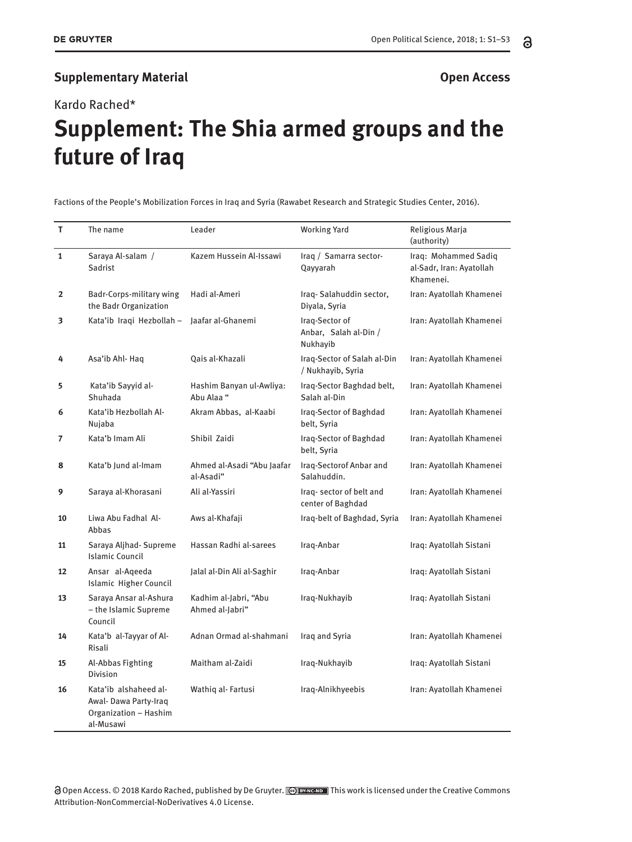## **Supplementary Material CONSERVING SUPPLEMENT ACCESS**

Kardo Rached\*

## **Supplement: The Shia armed groups and the future of Iraq** Max Musterman, Paul Placeholder **ne Shia armed grot**

**Factions of the People's Mobilization Forces in Iraq and Syria (Rawabet Research and Strategic Studies Center, 2016).** 

| T.             | The name                                                                             | Leader                                   | <b>Working Yard</b>                                 | Religious Marja<br>(authority)                                |
|----------------|--------------------------------------------------------------------------------------|------------------------------------------|-----------------------------------------------------|---------------------------------------------------------------|
| $\mathbf{1}$   | Saraya Al-salam /<br>Sadrist                                                         | Kazem Hussein Al-Issawi                  | Iraq / Samarra sector-<br>Qayyarah                  | Iraq: Mohammed Sadiq<br>al-Sadr, Iran: Ayatollah<br>Khamenei. |
| $\overline{2}$ | Badr-Corps-military wing<br>the Badr Organization                                    | Hadi al-Ameri                            | Iraq-Salahuddin sector,<br>Diyala, Syria            | Iran: Ayatollah Khamenei                                      |
| 3              | Kata'ib Iraqi Hezbollah -                                                            | laafar al-Ghanemi                        | Iraq-Sector of<br>Anbar, Salah al-Din /<br>Nukhayib | Iran: Ayatollah Khamenei                                      |
| 4              | Asa'ib Ahl- Haq                                                                      | Qais al-Khazali                          | Iraq-Sector of Salah al-Din<br>/ Nukhayib, Syria    | Iran: Ayatollah Khamenei                                      |
| 5              | Kata'ib Sayyid al-<br>Shuhada                                                        | Hashim Banyan ul-Awliya:<br>Abu Alaa "   | Iraq-Sector Baghdad belt,<br>Salah al-Din           | Iran: Ayatollah Khamenei                                      |
| 6              | Kata'ib Hezbollah Al-<br>Nujaba                                                      | Akram Abbas, al-Kaabi                    | Iraq-Sector of Baghdad<br>belt, Syria               | Iran: Ayatollah Khamenei                                      |
| $\overline{7}$ | Kata'b Imam Ali                                                                      | Shibil Zaidi                             | Iraq-Sector of Baghdad<br>belt, Syria               | Iran: Ayatollah Khamenei                                      |
| 8              | Kata'b Jund al-Imam                                                                  | Ahmed al-Asadi "Abu Jaafar<br>al-Asadi"  | Iraq-Sectorof Anbar and<br>Salahuddin.              | Iran: Ayatollah Khamenei                                      |
| 9              | Saraya al-Khorasani                                                                  | Ali al-Yassiri                           | Iraq-sector of belt and<br>center of Baghdad        | Iran: Ayatollah Khamenei                                      |
| 10             | Liwa Abu Fadhal Al-<br>Abbas                                                         | Aws al-Khafaji                           | Iraq-belt of Baghdad, Syria                         | Iran: Ayatollah Khamenei                                      |
| 11             | Saraya Aljhad- Supreme<br><b>Islamic Council</b>                                     | Hassan Radhi al-sarees                   | Iraq-Anbar                                          | Iraq: Ayatollah Sistani                                       |
| 12             | Ansar al-Aqeeda<br><b>Islamic Higher Council</b>                                     | Jalal al-Din Ali al-Saghir               | Iraq-Anbar                                          | Iraq: Ayatollah Sistani                                       |
| 13             | Saraya Ansar al-Ashura<br>- the Islamic Supreme<br>Council                           | Kadhim al-Jabri, "Abu<br>Ahmed al-Jabri" | Iraq-Nukhayib                                       | Iraq: Ayatollah Sistani                                       |
| 14             | Kata'b al-Tayyar of Al-<br>Risali                                                    | Adnan Ormad al-shahmani                  | Iraq and Syria                                      | Iran: Ayatollah Khamenei                                      |
| 15             | Al-Abbas Fighting<br><b>Division</b>                                                 | Maitham al-Zaidi                         | Iraq-Nukhayib                                       | Iraq: Ayatollah Sistani                                       |
| 16             | Kata'ib alshaheed al-<br>Awal- Dawa Party-Iraq<br>Organization - Hashim<br>al-Musawi | Wathiq al-Fartusi                        | Iraq-Alnikhyeebis                                   | Iran: Ayatollah Khamenei                                      |

(3 Open Access. © 2018 Kardo Rached, published by De Gruyter. <mark>@ கூடை)</mark> This work is licensed under the Creative Commons Attribution-NonCommercial-NoDerivatives 4.0 License.

**\*Max Musterman:** Institute of Marine Biology, National Taiwan Ocean University, 2 Pei-Ning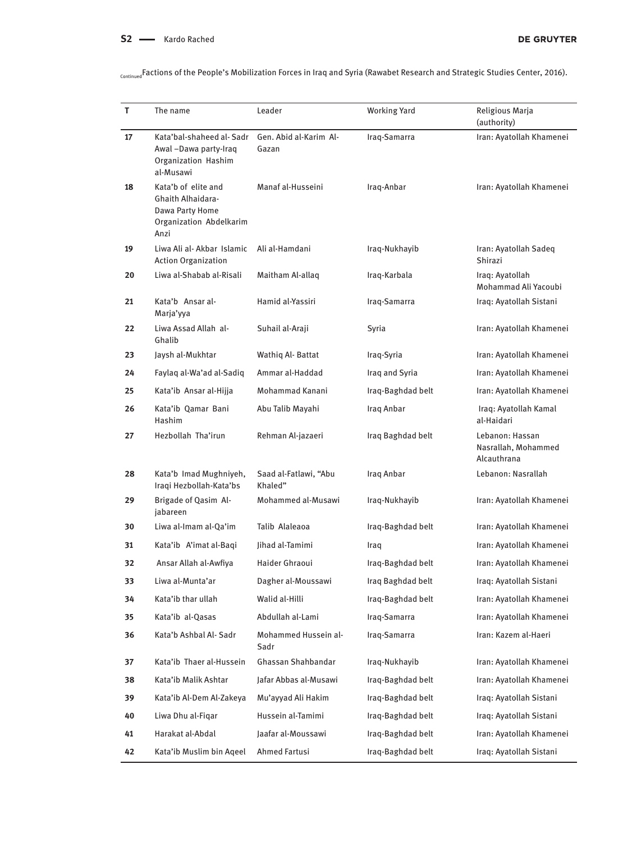ContinuedFactions of the People's Mobilization Forces in Iraq and Syria (Rawabet Research and Strategic Studies Center, 2016).

| т  | The name                                                                                       | Leader                           | <b>Working Yard</b> | Religious Marja<br>(authority)                        |
|----|------------------------------------------------------------------------------------------------|----------------------------------|---------------------|-------------------------------------------------------|
| 17 | Kata'bal-shaheed al-Sadr<br>Awal-Dawa party-Iraq<br>Organization Hashim<br>al-Musawi           | Gen. Abid al-Karim Al-<br>Gazan  | Iraq-Samarra        | Iran: Avatollah Khamenei                              |
| 18 | Kata'b of elite and<br>Ghaith Alhaidara-<br>Dawa Party Home<br>Organization Abdelkarim<br>Anzi | Manaf al-Husseini                | Iraq-Anbar          | Iran: Ayatollah Khamenei                              |
| 19 | Liwa Ali al- Akbar Islamic<br><b>Action Organization</b>                                       | Ali al-Hamdani                   | Iraq-Nukhayib       | Iran: Ayatollah Sadeq<br>Shirazi                      |
| 20 | Liwa al-Shabab al-Risali                                                                       | Maitham Al-allaq                 | Iraq-Karbala        | Iraq: Ayatollah<br>Mohammad Ali Yacoubi               |
| 21 | Kata'b Ansar al-<br>Marja'yya                                                                  | Hamid al-Yassiri                 | Iraq-Samarra        | Iraq: Ayatollah Sistani                               |
| 22 | Liwa Assad Allah al-<br>Ghalib                                                                 | Suhail al-Araji                  | Syria               | Iran: Ayatollah Khamenei                              |
| 23 | Jaysh al-Mukhtar                                                                               | Wathig Al-Battat                 | Iraq-Syria          | Iran: Ayatollah Khamenei                              |
| 24 | Faylaq al-Wa'ad al-Sadiq                                                                       | Ammar al-Haddad                  | Iraq and Syria      | Iran: Ayatollah Khamenei                              |
| 25 | Kata'ib Ansar al-Hijja                                                                         | Mohammad Kanani                  | Iraq-Baghdad belt   | Iran: Ayatollah Khamenei                              |
| 26 | Kata'ib Qamar Bani<br>Hashim                                                                   | Abu Talib Mayahi                 | Iraq Anbar          | Iraq: Ayatollah Kamal<br>al-Haidari                   |
| 27 | Hezbollah Tha'irun                                                                             | Rehman Al-jazaeri                | Iraq Baghdad belt   | Lebanon: Hassan<br>Nasrallah, Mohammed<br>Alcauthrana |
| 28 | Kata'b Imad Mughniyeh,<br>Iraqi Hezbollah-Kata'bs                                              | Saad al-Fatlawi, "Abu<br>Khaled" | Iraq Anbar          | Lebanon: Nasrallah                                    |
| 29 | Brigade of Qasim Al-<br>jabareen                                                               | Mohammed al-Musawi               | Iraq-Nukhayib       | Iran: Ayatollah Khamenei                              |
| 30 | Liwa al-Imam al-Qa'im                                                                          | Talib Alaleaoa                   | Iraq-Baghdad belt   | Iran: Ayatollah Khamenei                              |
| 31 | Kata'ib A'imat al-Baqi                                                                         | lihad al-Tamimi                  | Iraq                | Iran: Ayatollah Khamenei                              |
| 32 | Ansar Allah al-Awfiya                                                                          | Haider Ghraoui                   | Iraq-Baghdad belt   | Iran: Ayatollah Khamenei                              |
| 33 | Liwa al-Munta'ar                                                                               | Dagher al-Moussawi               | Iraq Baghdad belt   | Iraq: Ayatollah Sistani                               |
| 34 | Kata'ib thar ullah                                                                             | Walid al-Hilli                   | Iraq-Baghdad belt   | Iran: Ayatollah Khamenei                              |
| 35 | Kata'ib al-Qasas                                                                               | Abdullah al-Lami                 | Iraq-Samarra        | Iran: Ayatollah Khamenei                              |
| 36 | Kata'b Ashbal Al- Sadr                                                                         | Mohammed Hussein al-<br>Sadr     | Iraq-Samarra        | Iran: Kazem al-Haeri                                  |
| 37 | Kata'ib Thaer al-Hussein                                                                       | Ghassan Shahbandar               | Iraq-Nukhayib       | Iran: Ayatollah Khamenei                              |
| 38 | Kata'ib Malik Ashtar                                                                           | Jafar Abbas al-Musawi            | Iraq-Baghdad belt   | Iran: Avatollah Khamenei                              |
| 39 | Kata'ib Al-Dem Al-Zakeya                                                                       | Mu'ayyad Ali Hakim               | Iraq-Baghdad belt   | Iraq: Ayatollah Sistani                               |
| 40 | Liwa Dhu al-Fiqar                                                                              | Hussein al-Tamimi                | Iraq-Baghdad belt   | Iraq: Ayatollah Sistani                               |
| 41 | Harakat al-Abdal                                                                               | Jaafar al-Moussawi               | Iraq-Baghdad belt   | Iran: Ayatollah Khamenei                              |
| 42 | Kata'ib Muslim bin Aqeel                                                                       | Ahmed Fartusi                    | Iraq-Baghdad belt   | Iraq: Ayatollah Sistani                               |